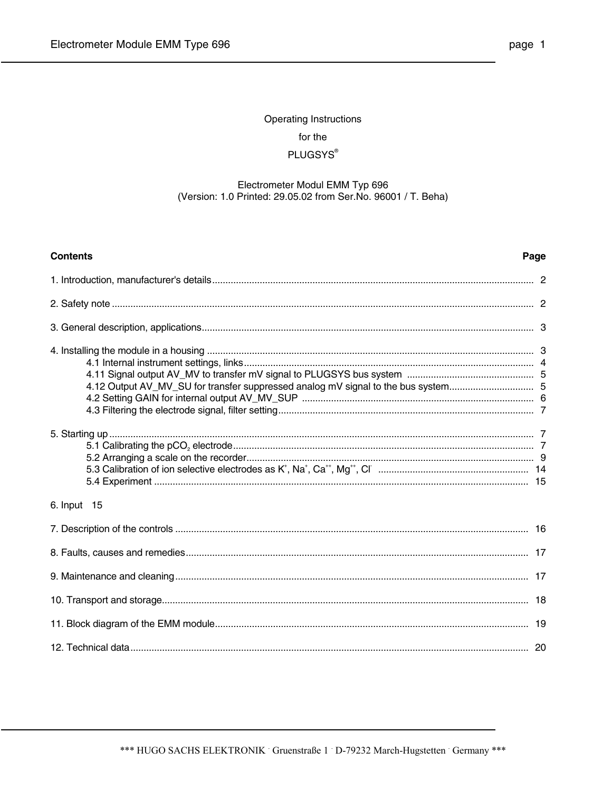# Operating Instructions for the **PLUGSYS®**

## Electrometer Modul EMM Typ 696 (Version: 1.0 Printed: 29.05.02 from Ser.No. 96001 / T. Beha)

| <b>Contents</b>                                                                   | Page |
|-----------------------------------------------------------------------------------|------|
|                                                                                   |      |
|                                                                                   |      |
|                                                                                   |      |
| 4.12 Output AV_MV_SU for transfer suppressed analog mV signal to the bus system 5 |      |
|                                                                                   |      |
| 6. Input 15                                                                       |      |
|                                                                                   |      |
|                                                                                   |      |
|                                                                                   |      |
|                                                                                   |      |
|                                                                                   |      |
|                                                                                   |      |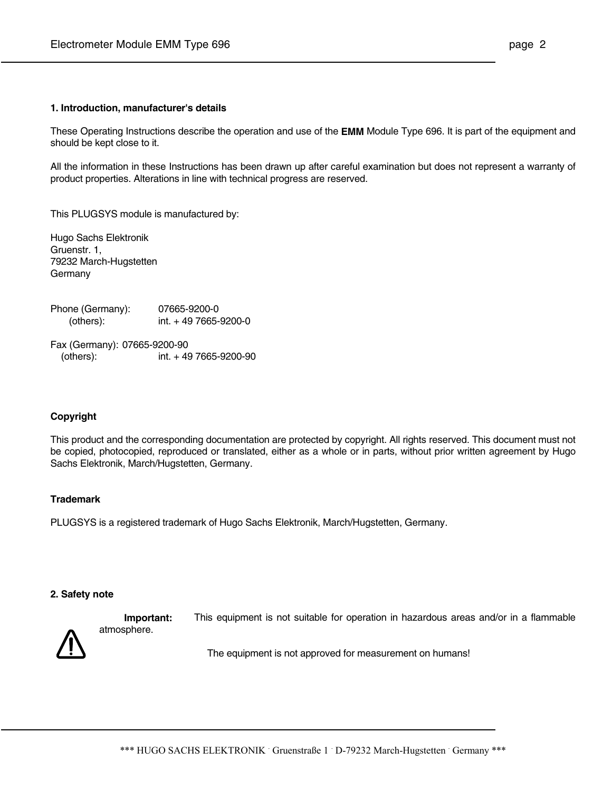#### **1. Introduction, manufacturer's details**

These Operating Instructions describe the operation and use of the **EMM** Module Type 696. It is part of the equipment and should be kept close to it.

All the information in these Instructions has been drawn up after careful examination but does not represent a warranty of product properties. Alterations in line with technical progress are reserved.

This PLUGSYS module is manufactured by:

Hugo Sachs Elektronik Gruenstr. 1, 79232 March-Hugstetten Germany

Phone (Germany): 07665-9200-0 (others): int. + 49 7665-9200-0

Fax (Germany): 07665-9200-90 (others): int. + 49 7665-9200-90

#### **Copyright**

This product and the corresponding documentation are protected by copyright. All rights reserved. This document must not be copied, photocopied, reproduced or translated, either as a whole or in parts, without prior written agreement by Hugo Sachs Elektronik, March/Hugstetten, Germany.

#### **Trademark**

PLUGSYS is a registered trademark of Hugo Sachs Elektronik, March/Hugstetten, Germany.

#### **2. Safety note**

atmosphere.



**Important:** This equipment is not suitable for operation in hazardous areas and/or in a flammable

The equipment is not approved for measurement on humans!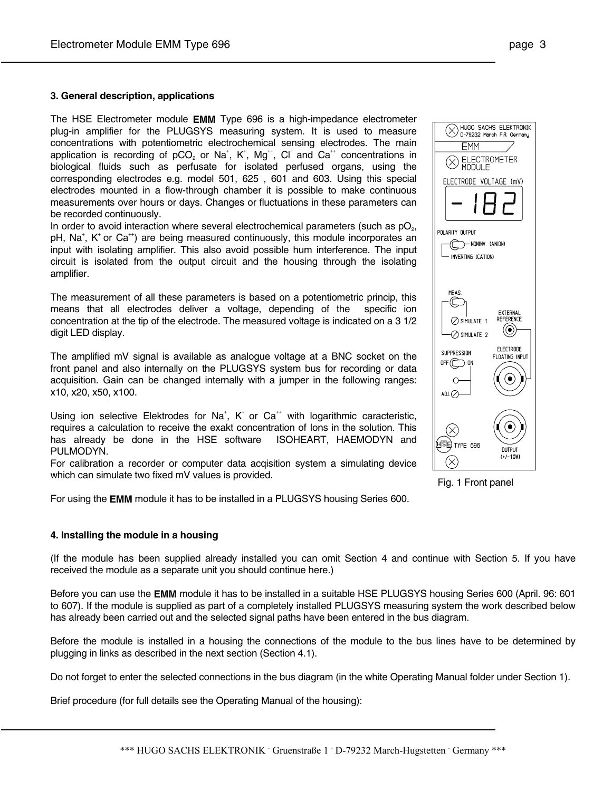#### **3. General description, applications**

The HSE Electrometer module **EMM** Type 696 is a high-impedance electrometer plug-in amplifier for the PLUGSYS measuring system. It is used to measure concentrations with potentiometric electrochemical sensing electrodes. The main application is recording of  $pCO<sub>2</sub>$  or Na<sup>+</sup>, K<sup>+</sup>, Mg<sup>++</sup>, Cl<sup>-</sup> and Ca<sup>++</sup> concentrations in biological fluids such as perfusate for isolated perfused organs, using the corresponding electrodes e.g. model 501, 625 , 601 and 603. Using this special electrodes mounted in a flow-through chamber it is possible to make continuous measurements over hours or days. Changes or fluctuations in these parameters can be recorded continuously.

In order to avoid interaction where several electrochemical parameters (such as  $pQ<sub>2</sub>$ , pH, Na<sup>+</sup>, K<sup>+</sup> or Ca<sup>++</sup>) are being measured continuously, this module incorporates an input with isolating amplifier. This also avoid possible hum interference. The input circuit is isolated from the output circuit and the housing through the isolating amplifier.

The measurement of all these parameters is based on a potentiometric princip, this means that all electrodes deliver a voltage, depending of the specific ion concentration at the tip of the electrode. The measured voltage is indicated on a 3 1/2 digit LED display.

The amplified mV signal is available as analogue voltage at a BNC socket on the front panel and also internally on the PLUGSYS system bus for recording or data acquisition. Gain can be changed internally with a jumper in the following ranges: x10, x20, x50, x100.

Using ion selective Elektrodes for Na<sup>+</sup>, K<sup>+</sup> or Ca<sup>++</sup> with logarithmic caracteristic, requires a calculation to receive the exakt concentration of Ions in the solution. This has already be done in the HSE software ISOHEART, HAEMODYN and PULMODYN.

For calibration a recorder or computer data acqisition system a simulating device which can simulate two fixed mV values is provided.

For using the **EMM** module it has to be installed in a PLUGSYS housing Series 600.

#### **4. Installing the module in a housing**

(If the module has been supplied already installed you can omit Section 4 and continue with Section 5. If you have received the module as a separate unit you should continue here.)

Before you can use the **EMM** module it has to be installed in a suitable HSE PLUGSYS housing Series 600 (April. 96: 601 to 607). If the module is supplied as part of a completely installed PLUGSYS measuring system the work described below has already been carried out and the selected signal paths have been entered in the bus diagram.

Before the module is installed in a housing the connections of the module to the bus lines have to be determined by plugging in links as described in the next section (Section 4.1).

Do not forget to enter the selected connections in the bus diagram (in the white Operating Manual folder under Section 1).

Brief procedure (for full details see the Operating Manual of the housing):

◯ ADJ. $\oslash$ 

Fig. 1 Front panel

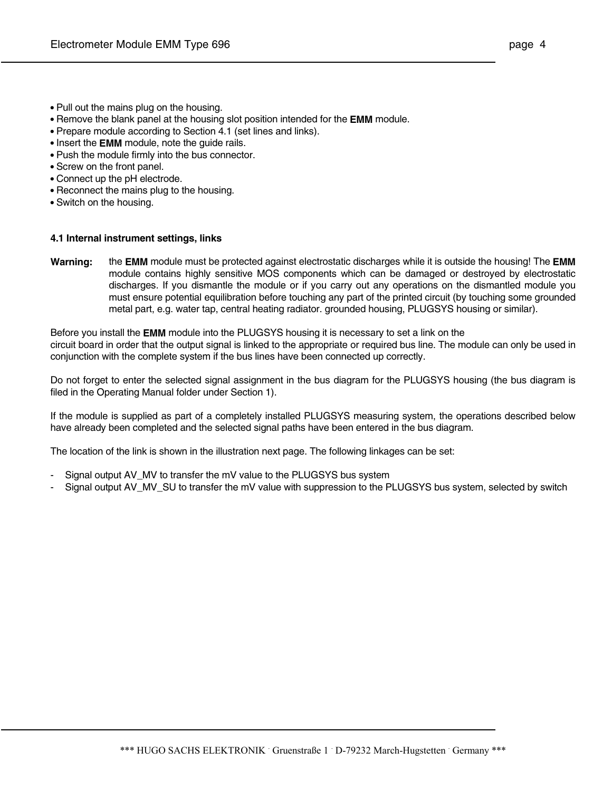- **•** Pull out the mains plug on the housing.
- **•** Remove the blank panel at the housing slot position intended for the **EMM** module.
- Prepare module according to Section 4.1 (set lines and links).
- **•** Insert the **EMM** module, note the guide rails.
- **•** Push the module firmly into the bus connector.
- **•** Screw on the front panel.
- **•** Connect up the pH electrode.
- **•** Reconnect the mains plug to the housing.
- **•** Switch on the housing.

#### **4.1 Internal instrument settings, links**

**Warning:** the **EMM** module must be protected against electrostatic discharges while it is outside the housing! The **EMM** module contains highly sensitive MOS components which can be damaged or destroyed by electrostatic discharges. If you dismantle the module or if you carry out any operations on the dismantled module you must ensure potential equilibration before touching any part of the printed circuit (by touching some grounded metal part, e.g. water tap, central heating radiator. grounded housing, PLUGSYS housing or similar).

Before you install the **EMM** module into the PLUGSYS housing it is necessary to set a link on the circuit board in order that the output signal is linked to the appropriate or required bus line. The module can only be used in conjunction with the complete system if the bus lines have been connected up correctly.

Do not forget to enter the selected signal assignment in the bus diagram for the PLUGSYS housing (the bus diagram is filed in the Operating Manual folder under Section 1).

If the module is supplied as part of a completely installed PLUGSYS measuring system, the operations described below have already been completed and the selected signal paths have been entered in the bus diagram.

The location of the link is shown in the illustration next page. The following linkages can be set:

- Signal output AV MV to transfer the mV value to the PLUGSYS bus system
- Signal output AV\_MV\_SU to transfer the mV value with suppression to the PLUGSYS bus system, selected by switch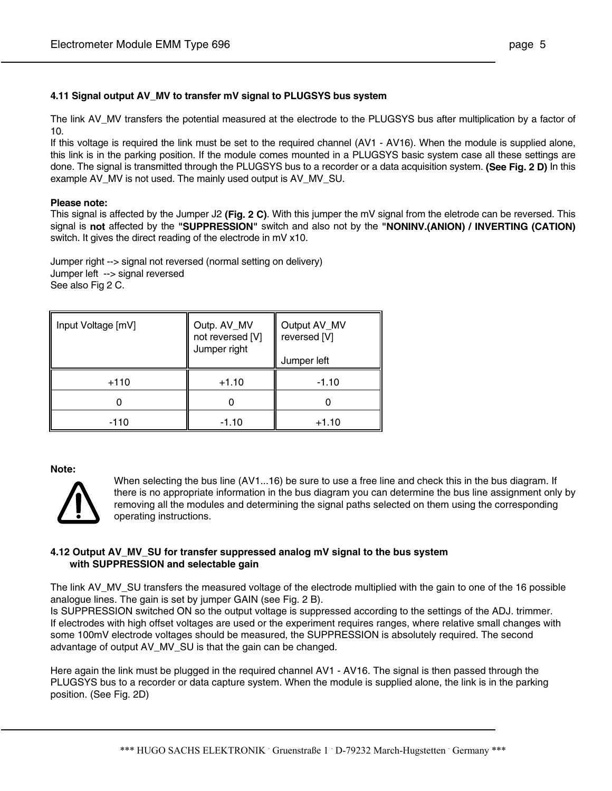## **4.11 Signal output AV\_MV to transfer mV signal to PLUGSYS bus system**

The link AV\_MV transfers the potential measured at the electrode to the PLUGSYS bus after multiplication by a factor of 10.

If this voltage is required the link must be set to the required channel (AV1 - AV16). When the module is supplied alone, this link is in the parking position. If the module comes mounted in a PLUGSYS basic system case all these settings are done. The signal is transmitted through the PLUGSYS bus to a recorder or a data acquisition system. **(See Fig. 2 D)** In this example AV MV is not used. The mainly used output is AV MV SU.

#### **Please note:**

This signal is affected by the Jumper J2 **(Fig. 2 C)**. With this jumper the mV signal from the eletrode can be reversed. This signal is **not** affected by the **"SUPPRESSION"** switch and also not by the **"NONINV.(ANION) / INVERTING (CATION)** switch. It gives the direct reading of the electrode in mV x10.

Jumper right --> signal not reversed (normal setting on delivery) Jumper left --> signal reversed See also Fig 2 C.

| Input Voltage [mV] | Outp. AV_MV<br>not reversed [V]<br>Jumper right | Output AV_MV<br>reversed [V]<br>Jumper left |
|--------------------|-------------------------------------------------|---------------------------------------------|
| $+110$             | $+1.10$                                         | $-1.10$                                     |
|                    |                                                 |                                             |
| -110               | $-1.10$                                         | $+1.10$                                     |

**Note:**



When selecting the bus line (AV1...16) be sure to use a free line and check this in the bus diagram. If there is no appropriate information in the bus diagram you can determine the bus line assignment only by removing all the modules and determining the signal paths selected on them using the corresponding operating instructions.

## **4.12 Output AV\_MV\_SU for transfer suppressed analog mV signal to the bus system with SUPPRESSION and selectable gain**

The link AV\_MV\_SU transfers the measured voltage of the electrode multiplied with the gain to one of the 16 possible analogue lines. The gain is set by jumper GAIN (see Fig. 2 B).

Is SUPPRESSION switched ON so the output voltage is suppressed according to the settings of the ADJ. trimmer. If electrodes with high offset voltages are used or the experiment requires ranges, where relative small changes with some 100mV electrode voltages should be measured, the SUPPRESSION is absolutely required. The second advantage of output AV\_MV\_SU is that the gain can be changed.

Here again the link must be plugged in the required channel AV1 - AV16. The signal is then passed through the PLUGSYS bus to a recorder or data capture system. When the module is supplied alone, the link is in the parking position. (See Fig. 2D)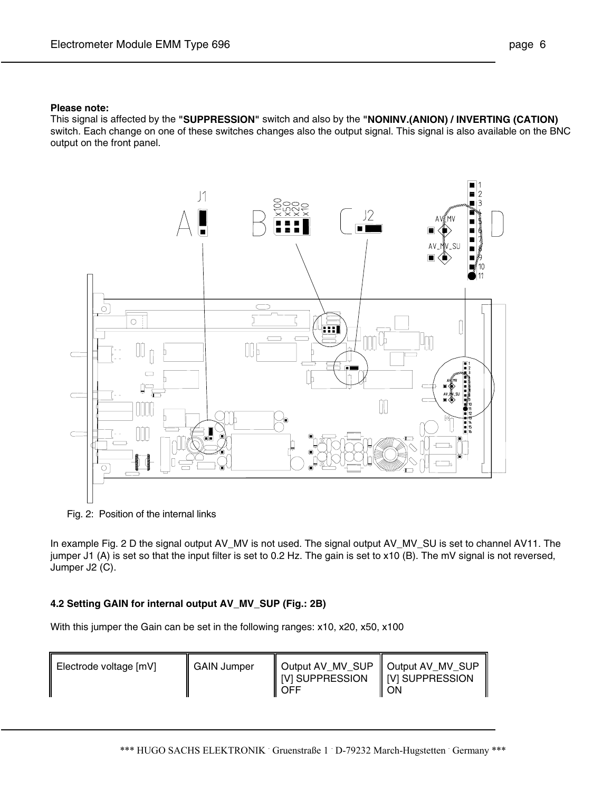#### **Please note:**

This signal is affected by the **"SUPPRESSION"** switch and also by the **"NONINV.(ANION) / INVERTING (CATION)** switch. Each change on one of these switches changes also the output signal. This signal is also available on the BNC output on the front panel.



Fig. 2: Position of the internal links

In example Fig. 2 D the signal output AV\_MV is not used. The signal output AV\_MV\_SU is set to channel AV11. The jumper J1 (A) is set so that the input filter is set to 0.2 Hz. The gain is set to x10 (B). The mV signal is not reversed, Jumper J2 (C).

## **4.2 Setting GAIN for internal output AV\_MV\_SUP (Fig.: 2B)**

With this jumper the Gain can be set in the following ranges: x10, x20, x50, x100

| Electrode voltage [mV] | <b>GAIN Jumper</b> | Output AV_MV_SUP   Output AV_MV_SUP<br>   [V] SUPPRESSION    [V] SUPPRESSION<br>OFF | ΟN |
|------------------------|--------------------|-------------------------------------------------------------------------------------|----|
|------------------------|--------------------|-------------------------------------------------------------------------------------|----|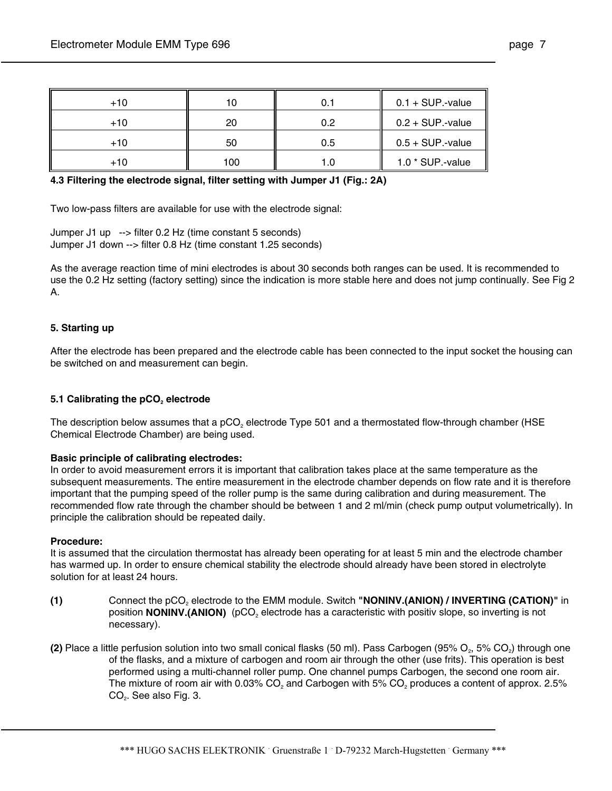| $+10$ |     |     | $0.1 + SUP-value$   |
|-------|-----|-----|---------------------|
| $+10$ | 20  | 0 2 | $0.2 + SUP.$ -value |
| $+10$ | 50  | 0.5 | $0.5 + SUP$ -value  |
| $+10$ | 100 |     | 1.0 * SUP.-value    |

**4.3 Filtering the electrode signal, filter setting with Jumper J1 (Fig.: 2A)**

Two low-pass filters are available for use with the electrode signal:

Jumper J1 up --> filter 0.2 Hz (time constant 5 seconds) Jumper J1 down --> filter 0.8 Hz (time constant 1.25 seconds)

As the average reaction time of mini electrodes is about 30 seconds both ranges can be used. It is recommended to use the 0.2 Hz setting (factory setting) since the indication is more stable here and does not jump continually. See Fig 2 A.

## **5. Starting up**

After the electrode has been prepared and the electrode cable has been connected to the input socket the housing can be switched on and measurement can begin.

## **5.1 Calibrating the pCO<sub>2</sub> electrode**

The description below assumes that a  $pCO<sub>2</sub>$  electrode Type 501 and a thermostated flow-through chamber (HSE Chemical Electrode Chamber) are being used.

## **Basic principle of calibrating electrodes:**

In order to avoid measurement errors it is important that calibration takes place at the same temperature as the subsequent measurements. The entire measurement in the electrode chamber depends on flow rate and it is therefore important that the pumping speed of the roller pump is the same during calibration and during measurement. The recommended flow rate through the chamber should be between 1 and 2 ml/min (check pump output volumetrically). In principle the calibration should be repeated daily.

## **Procedure:**

It is assumed that the circulation thermostat has already been operating for at least 5 min and the electrode chamber has warmed up. In order to ensure chemical stability the electrode should already have been stored in electrolyte solution for at least 24 hours.

- **(1)** Connect the pCO<sub>2</sub> electrode to the EMM module. Switch **"NONINV.(ANION) / INVERTING (CATION)"** in position **NONINV.(ANION)** (pCO<sub>2</sub> electrode has a caracteristic with positiv slope, so inverting is not necessary).
- **(2)** Place a little perfusion solution into two small conical flasks (50 ml). Pass Carbogen (95% O<sub>2</sub>, 5% CO<sub>2</sub>) through one of the flasks, and a mixture of carbogen and room air through the other (use frits). This operation is best performed using a multi-channel roller pump. One channel pumps Carbogen, the second one room air. The mixture of room air with 0.03% CO<sub>2</sub> and Carbogen with 5% CO<sub>2</sub> produces a content of approx. 2.5% CO<sub>2</sub>. See also Fig. 3.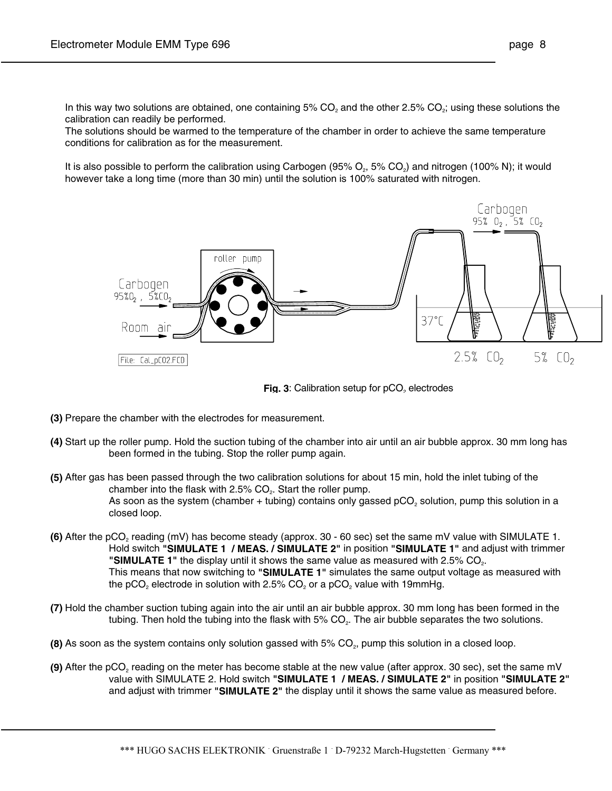In this way two solutions are obtained, one containing  $5\%$  CO<sub>2</sub> and the other 2.5% CO<sub>2</sub>; using these solutions the calibration can readily be performed.

 The solutions should be warmed to the temperature of the chamber in order to achieve the same temperature conditions for calibration as for the measurement.

It is also possible to perform the calibration using Carbogen (95%  $O_2$ , 5%  $CO_2$ ) and nitrogen (100% N); it would however take a long time (more than 30 min) until the solution is 100% saturated with nitrogen.





- **(3)** Prepare the chamber with the electrodes for measurement.
- **(4)** Start up the roller pump. Hold the suction tubing of the chamber into air until an air bubble approx. 30 mm long has been formed in the tubing. Stop the roller pump again.
- **(5)** After gas has been passed through the two calibration solutions for about 15 min, hold the inlet tubing of the chamber into the flask with  $2.5\%$  CO<sub>2</sub>. Start the roller pump. As soon as the system (chamber + tubing) contains only gassed  $pCO<sub>2</sub>$  solution, pump this solution in a closed loop.
- **(6)** After the pCO<sub>2</sub> reading (mV) has become steady (approx. 30 60 sec) set the same mV value with SIMULATE 1. Hold switch **"SIMULATE 1 / MEAS. / SIMULATE 2"** in position **"SIMULATE 1"** and adjust with trimmer "SIMULATE 1" the display until it shows the same value as measured with 2.5% CO<sub>2</sub>. This means that now switching to **"SIMULATE 1"** simulates the same output voltage as measured with the pCO<sub>2</sub> electrode in solution with 2.5% CO<sub>2</sub> or a pCO<sub>2</sub> value with 19mmHg.
- **(7)** Hold the chamber suction tubing again into the air until an air bubble approx. 30 mm long has been formed in the tubing. Then hold the tubing into the flask with 5% CO<sub>2</sub>. The air bubble separates the two solutions.
- **(8)** As soon as the system contains only solution gassed with 5% CO<sub>2</sub>, pump this solution in a closed loop.
- **(9)** After the pCO<sub>2</sub> reading on the meter has become stable at the new value (after approx. 30 sec), set the same mV value with SIMULATE 2. Hold switch **"SIMULATE 1 / MEAS. / SIMULATE 2"** in position **"SIMULATE 2"** and adjust with trimmer **"SIMULATE 2"** the display until it shows the same value as measured before.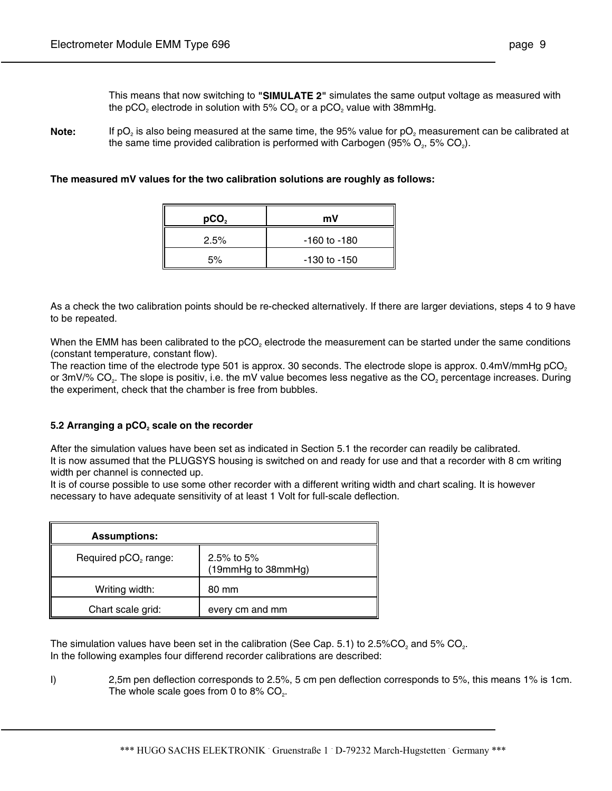**Note:** If pO<sub>2</sub> is also being measured at the same time, the 95% value for pO<sub>2</sub> measurement can be calibrated at the same time provided calibration is performed with Carbogen (95%  $O_2$ , 5%  $CO_2$ ).

**The measured mV values for the two calibration solutions are roughly as follows:**

| pCO <sub>2</sub> | mV               |
|------------------|------------------|
| 2.5%             | $-160$ to $-180$ |
| 5%               | $-130$ to $-150$ |

As a check the two calibration points should be re-checked alternatively. If there are larger deviations, steps 4 to 9 have to be repeated.

When the EMM has been calibrated to the pCO<sub>2</sub> electrode the measurement can be started under the same conditions (constant temperature, constant flow).

The reaction time of the electrode type 501 is approx. 30 seconds. The electrode slope is approx. 0.4mV/mmHg pCO<sub>2</sub> or 3mV/% CO<sub>2</sub>. The slope is positiv, i.e. the mV value becomes less negative as the CO<sub>2</sub> percentage increases. During the experiment, check that the chamber is free from bubbles.

## 5.2 Arranging a pCO<sub>2</sub> scale on the recorder

After the simulation values have been set as indicated in Section 5.1 the recorder can readily be calibrated. It is now assumed that the PLUGSYS housing is switched on and ready for use and that a recorder with 8 cm writing width per channel is connected up.

It is of course possible to use some other recorder with a different writing width and chart scaling. It is however necessary to have adequate sensitivity of at least 1 Volt for full-scale deflection.

| <b>Assumptions:</b>              |                                  |
|----------------------------------|----------------------------------|
| Required pCO <sub>2</sub> range: | 2.5% to 5%<br>(19mmHg to 38mmHg) |
| Writing width:                   | 80 mm                            |
| Chart scale grid:                | every cm and mm                  |

The simulation values have been set in the calibration (See Cap. 5.1) to 2.5%CO<sub>2</sub> and 5% CO<sub>2</sub>. In the following examples four differend recorder calibrations are described:

I) 2,5m pen deflection corresponds to 2.5%, 5 cm pen deflection corresponds to 5%, this means 1% is 1cm. The whole scale goes from 0 to  $8\%$  CO<sub>2</sub>.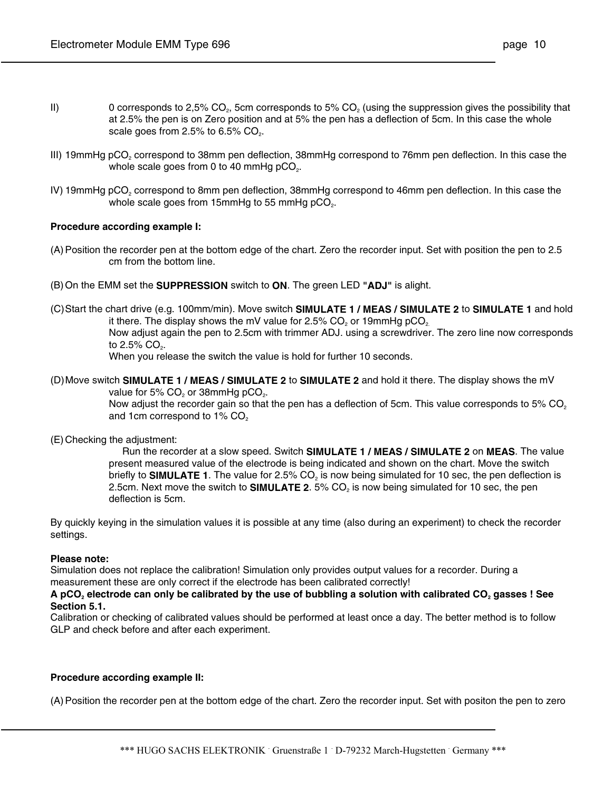- II) 0 corresponds to 2,5% CO<sub>2</sub>, 5cm corresponds to 5% CO<sub>2</sub> (using the suppression gives the possibility that at 2.5% the pen is on Zero position and at 5% the pen has a deflection of 5cm. In this case the whole scale goes from  $2.5\%$  to  $6.5\%$  CO<sub>2</sub>.
- III) 19mmHg pCO<sub>2</sub> correspond to 38mm pen deflection, 38mmHg correspond to 76mm pen deflection. In this case the whole scale goes from 0 to 40 mmHg  $pCO<sub>2</sub>$ .
- IV) 19mmHg pCO<sub>2</sub> correspond to 8mm pen deflection, 38mmHg correspond to 46mm pen deflection. In this case the whole scale goes from 15mmHg to 55 mmHg  $pCO<sub>2</sub>$ .

#### **Procedure according example I:**

- (A) Position the recorder pen at the bottom edge of the chart. Zero the recorder input. Set with position the pen to 2.5 cm from the bottom line.
- (B) On the EMM set the **SUPPRESSION** switch to **ON**. The green LED **"ADJ"** is alight.
- (C) Start the chart drive (e.g. 100mm/min). Move switch **SIMULATE 1 / MEAS / SIMULATE 2** to **SIMULATE 1** and hold it there. The display shows the mV value for  $2.5\%$  CO<sub>2</sub> or 19mmHg pCO<sub>2</sub>. Now adjust again the pen to 2.5cm with trimmer ADJ. using a screwdriver. The zero line now corresponds to  $2.5\%$  CO<sub>2</sub>.

When you release the switch the value is hold for further 10 seconds.

(D) Move switch **SIMULATE 1 / MEAS / SIMULATE 2** to **SIMULATE 2** and hold it there. The display shows the mV value for 5% CO<sub>2</sub> or 38mmHg pCO<sub>2</sub>.

> Now adjust the recorder gain so that the pen has a deflection of 5cm. This value corresponds to 5% CO<sub>2</sub> and 1cm correspond to 1% CO<sub>2</sub>

#### (E) Checking the adjustment:

 Run the recorder at a slow speed. Switch **SIMULATE 1 / MEAS / SIMULATE 2** on **MEAS**. The value present measured value of the electrode is being indicated and shown on the chart. Move the switch briefly to **SIMULATE 1**. The value for 2.5% CO<sub>2</sub> is now being simulated for 10 sec, the pen deflection is 2.5cm. Next move the switch to **SIMULATE 2**. 5% CO<sub>2</sub> is now being simulated for 10 sec, the pen deflection is 5cm.

By quickly keying in the simulation values it is possible at any time (also during an experiment) to check the recorder settings.

#### **Please note:**

Simulation does not replace the calibration! Simulation only provides output values for a recorder. During a measurement these are only correct if the electrode has been calibrated correctly!

A pCO<sub>2</sub> electrode can only be calibrated by the use of bubbling a solution with calibrated CO<sub>2</sub> gasses ! See **Section 5.1.**

Calibration or checking of calibrated values should be performed at least once a day. The better method is to follow GLP and check before and after each experiment.

#### **Procedure according example II:**

(A) Position the recorder pen at the bottom edge of the chart. Zero the recorder input. Set with positon the pen to zero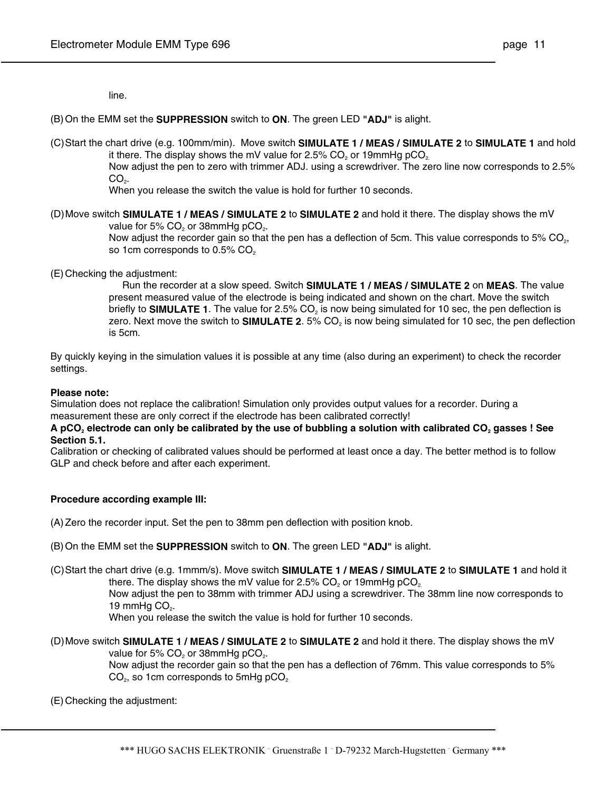line.

(B) On the EMM set the **SUPPRESSION** switch to **ON**. The green LED **"ADJ"** is alight.

(C) Start the chart drive (e.g. 100mm/min). Move switch **SIMULATE 1 / MEAS / SIMULATE 2** to **SIMULATE 1** and hold it there. The display shows the mV value for  $2.5\%$  CO<sub>2</sub> or 19mmHg pCO<sub>2</sub>.

> Now adjust the pen to zero with trimmer ADJ. using a screwdriver. The zero line now corresponds to 2.5%  $CO<sub>2</sub>$ .

When you release the switch the value is hold for further 10 seconds.

(D) Move switch **SIMULATE 1 / MEAS / SIMULATE 2** to **SIMULATE 2** and hold it there. The display shows the mV

value for 5% CO<sub>2</sub> or 38mmHg pCO<sub>2</sub>.

Now adjust the recorder gain so that the pen has a deflection of 5cm. This value corresponds to 5% CO<sub>2</sub>, so 1cm corresponds to 0.5% CO<sub>2</sub>

(E) Checking the adjustment:

 Run the recorder at a slow speed. Switch **SIMULATE 1 / MEAS / SIMULATE 2** on **MEAS**. The value present measured value of the electrode is being indicated and shown on the chart. Move the switch briefly to **SIMULATE 1**. The value for 2.5% CO<sub>2</sub> is now being simulated for 10 sec, the pen deflection is zero. Next move the switch to **SIMULATE 2**. 5% CO<sub>2</sub> is now being simulated for 10 sec, the pen deflection is 5cm.

By quickly keying in the simulation values it is possible at any time (also during an experiment) to check the recorder settings.

#### **Please note:**

Simulation does not replace the calibration! Simulation only provides output values for a recorder. During a measurement these are only correct if the electrode has been calibrated correctly!

### A pCO<sub>2</sub> electrode can only be calibrated by the use of bubbling a solution with calibrated CO<sub>2</sub> gasses ! See **Section 5.1.**

Calibration or checking of calibrated values should be performed at least once a day. The better method is to follow GLP and check before and after each experiment.

## **Procedure according example III:**

(A) Zero the recorder input. Set the pen to 38mm pen deflection with position knob.

- (B) On the EMM set the **SUPPRESSION** switch to **ON**. The green LED **"ADJ"** is alight.
- (C) Start the chart drive (e.g. 1mmm/s). Move switch **SIMULATE 1 / MEAS / SIMULATE 2** to **SIMULATE 1** and hold it there. The display shows the mV value for 2.5%  $CO<sub>2</sub>$  or 19mmHg pCO<sub>2</sub>.

 Now adjust the pen to 38mm with trimmer ADJ using a screwdriver. The 38mm line now corresponds to 19 mm $Hq$  CO<sub>2</sub>.

When you release the switch the value is hold for further 10 seconds.

(D) Move switch **SIMULATE 1 / MEAS / SIMULATE 2** to **SIMULATE 2** and hold it there. The display shows the mV value for 5% CO<sub>2</sub> or 38mmHg pCO<sub>2</sub>.

> Now adjust the recorder gain so that the pen has a deflection of 76mm. This value corresponds to 5% CO<sub>2</sub>, so 1cm corresponds to 5mHg pCO<sub>2</sub>

#### (E) Checking the adjustment: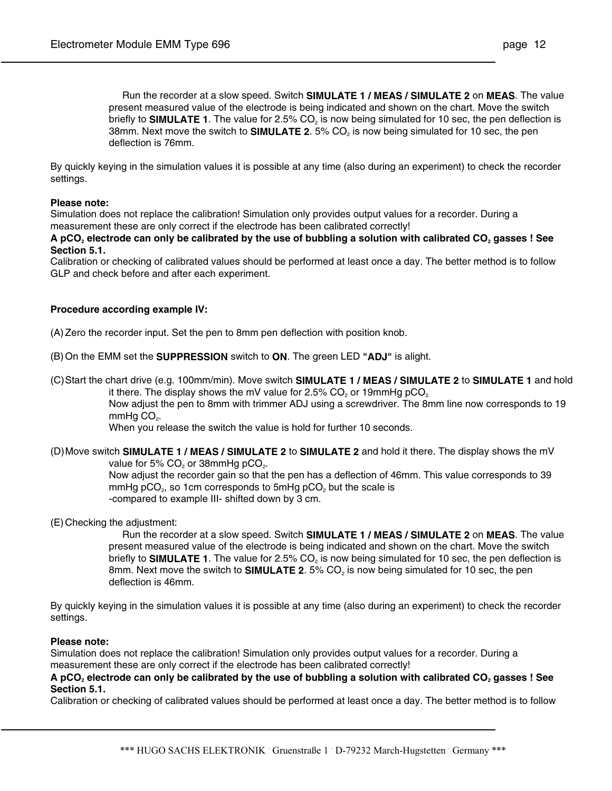Run the recorder at a slow speed. Switch **SIMULATE 1 / MEAS / SIMULATE 2** on **MEAS**. The value present measured value of the electrode is being indicated and shown on the chart. Move the switch briefly to **SIMULATE 1**. The value for 2.5% CO<sub>2</sub> is now being simulated for 10 sec, the pen deflection is 38mm. Next move the switch to **SIMULATE 2**. 5% CO2 is now being simulated for 10 sec, the pen deflection is 76mm.

By quickly keying in the simulation values it is possible at any time (also during an experiment) to check the recorder settings.

#### **Please note:**

Simulation does not replace the calibration! Simulation only provides output values for a recorder. During a measurement these are only correct if the electrode has been calibrated correctly!

A pCO<sub>2</sub> electrode can only be calibrated by the use of bubbling a solution with calibrated CO<sub>2</sub> gasses ! See **Section 5.1.**

Calibration or checking of calibrated values should be performed at least once a day. The better method is to follow GLP and check before and after each experiment.

#### **Procedure according example IV:**

(A) Zero the recorder input. Set the pen to 8mm pen deflection with position knob.

- (B) On the EMM set the **SUPPRESSION** switch to **ON**. The green LED **"ADJ"** is alight.
- (C) Start the chart drive (e.g. 100mm/min). Move switch **SIMULATE 1 / MEAS / SIMULATE 2** to **SIMULATE 1** and hold it there. The display shows the mV value for  $2.5\%$  CO<sub>2</sub> or 19mmHg pCO<sub>2</sub>.

 Now adjust the pen to 8mm with trimmer ADJ using a screwdriver. The 8mm line now corresponds to 19  $mmHg$  CO<sub>2</sub>.

When you release the switch the value is hold for further 10 seconds.

(D) Move switch **SIMULATE 1 / MEAS / SIMULATE 2** to **SIMULATE 2** and hold it there. The display shows the mV value for 5% CO<sub>2</sub> or 38mmHg pCO<sub>2</sub>.

> Now adjust the recorder gain so that the pen has a deflection of 46mm. This value corresponds to 39 mmHg  $pCO<sub>2</sub>$ , so 1cm corresponds to 5mHg  $pCO<sub>2</sub>$  but the scale is -compared to example III- shifted down by 3 cm.

(E) Checking the adjustment:

 Run the recorder at a slow speed. Switch **SIMULATE 1 / MEAS / SIMULATE 2** on **MEAS**. The value present measured value of the electrode is being indicated and shown on the chart. Move the switch briefly to **SIMULATE 1**. The value for 2.5% CO<sub>2</sub> is now being simulated for 10 sec, the pen deflection is 8mm. Next move the switch to **SIMULATE 2**. 5% CO<sub>2</sub> is now being simulated for 10 sec, the pen deflection is 46mm.

By quickly keying in the simulation values it is possible at any time (also during an experiment) to check the recorder settings.

#### **Please note:**

Simulation does not replace the calibration! Simulation only provides output values for a recorder. During a measurement these are only correct if the electrode has been calibrated correctly!

A pCO<sub>2</sub> electrode can only be calibrated by the use of bubbling a solution with calibrated CO<sub>2</sub> gasses ! See **Section 5.1.**

Calibration or checking of calibrated values should be performed at least once a day. The better method is to follow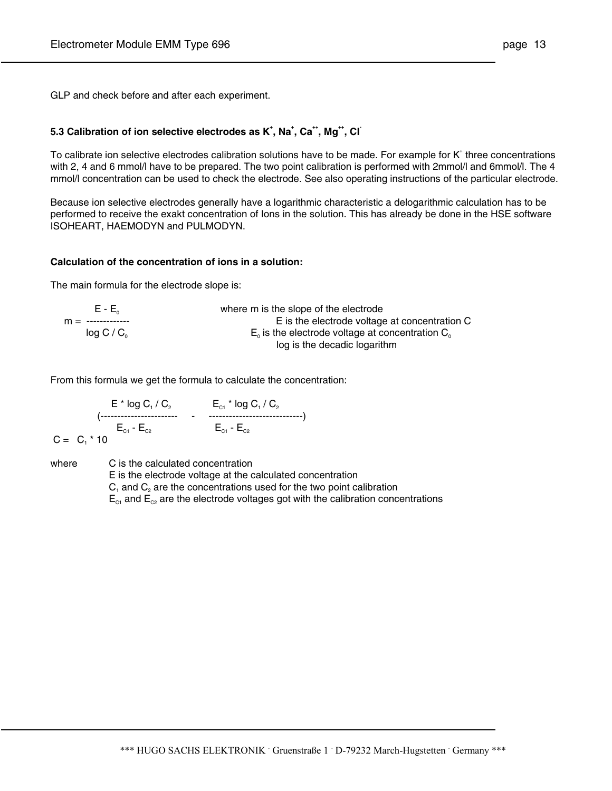GLP and check before and after each experiment.

## **5.3 Calibration of ion selective electrodes as K<sup>+</sup>, Na<sup>+</sup>, Ca<sup>++</sup>, Mg<sup>++</sup>, Cl<sup>+</sup>**

To calibrate ion selective electrodes calibration solutions have to be made. For example for K<sup>+</sup> three concentrations with 2, 4 and 6 mmol/l have to be prepared. The two point calibration is performed with 2mmol/l and 6mmol/l. The 4 mmol/l concentration can be used to check the electrode. See also operating instructions of the particular electrode.

Because ion selective electrodes generally have a logarithmic characteristic a delogarithmic calculation has to be performed to receive the exakt concentration of Ions in the solution. This has already be done in the HSE software ISOHEART, HAEMODYN and PULMODYN.

#### **Calculation of the concentration of ions in a solution:**

The main formula for the electrode slope is:

| $E - E_{0}$          | where m is the slope of the electrode                 |
|----------------------|-------------------------------------------------------|
| $m =$ -------------- | E is the electrode voltage at concentration C         |
| log C/C <sub>o</sub> | $E_0$ is the electrode voltage at concentration $C_0$ |
|                      | log is the decadic logarithm                          |

From this formula we get the formula to calculate the concentration:

 $E^{\ast}$  log C<sub>1</sub> / C<sub>2</sub>  $E_{c_1}^{\ast}$  log C<sub>1</sub> / C<sub>2</sub> (----------------------- - ----------------------------)  $E_{c1}$  -  $E_{c2}$   $E_{c1}$  -  $E_{c2}$  $C = C_1 * 10$ 

where C is the calculated concentration

E is the electrode voltage at the calculated concentration

 $C_1$  and  $C_2$  are the concentrations used for the two point calibration

 $E_{c1}$  and  $E_{c2}$  are the electrode voltages got with the calibration concentrations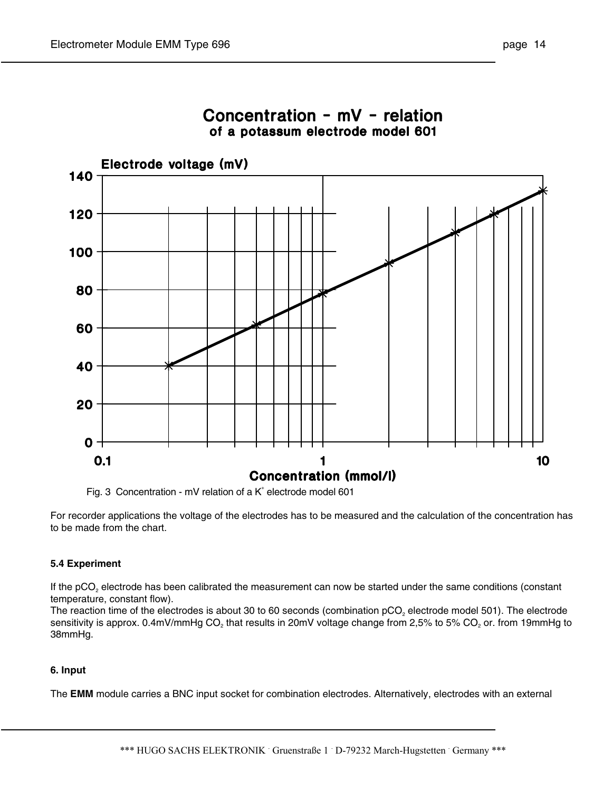

Concentration - mV - relation of a potassum electrode model 601

Fig. 3 Concentration - mV relation of a  $K^*$  electrode model 601

For recorder applications the voltage of the electrodes has to be measured and the calculation of the concentration has to be made from the chart.

## **5.4 Experiment**

If the pCO<sub>2</sub> electrode has been calibrated the measurement can now be started under the same conditions (constant temperature, constant flow).

The reaction time of the electrodes is about 30 to 60 seconds (combination  $pCO<sub>2</sub>$  electrode model 501). The electrode sensitivity is approx. 0.4mV/mmHg  $CO<sub>2</sub>$  that results in 20mV voltage change from 2,5% to 5%  $CO<sub>2</sub>$  or. from 19mmHg to 38mmHg.

## **6. Input**

The **EMM** module carries a BNC input socket for combination electrodes. Alternatively, electrodes with an external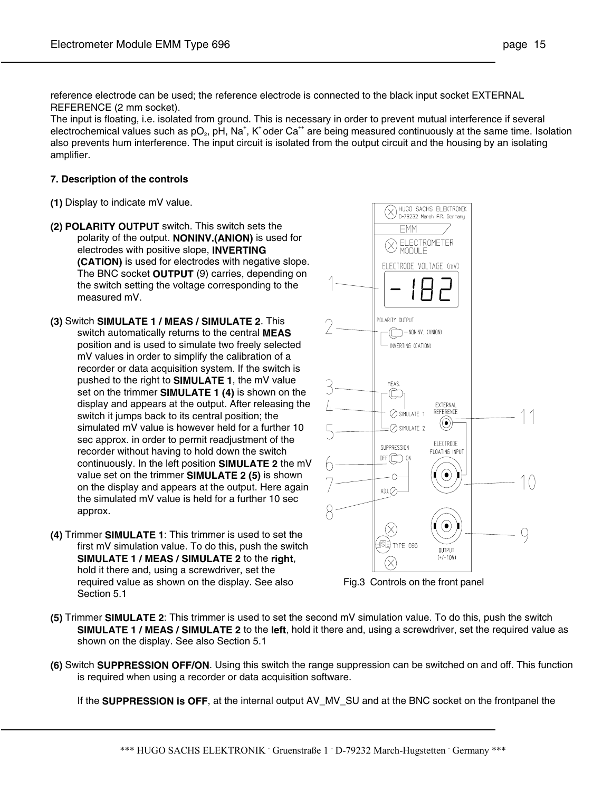reference electrode can be used; the reference electrode is connected to the black input socket EXTERNAL REFERENCE (2 mm socket).

The input is floating, i.e. isolated from ground. This is necessary in order to prevent mutual interference if several electrochemical values such as pO<sub>2</sub>, pH, Na<sup>+</sup>, K<sup>+</sup> oder Ca<sup>++</sup> are being measured continuously at the same time. Isolation also prevents hum interference. The input circuit is isolated from the output circuit and the housing by an isolating amplifier.

#### **7. Description of the controls**

- **(1)** Display to indicate mV value.
- **(2) POLARITY OUTPUT** switch. This switch sets the polarity of the output. **NONINV.(ANION)** is used for electrodes with positive slope, **INVERTING (CATION)** is used for electrodes with negative slope. The BNC socket **OUTPUT** (9) carries, depending on the switch setting the voltage corresponding to the measured mV.
- **(3)** Switch **SIMULATE 1 / MEAS / SIMULATE 2**. This switch automatically returns to the central **MEAS** position and is used to simulate two freely selected mV values in order to simplify the calibration of a recorder or data acquisition system. If the switch is pushed to the right to **SIMULATE 1**, the mV value set on the trimmer **SIMULATE 1 (4)** is shown on the display and appears at the output. After releasing the switch it jumps back to its central position; the simulated mV value is however held for a further 10 sec approx. in order to permit readjustment of the recorder without having to hold down the switch continuously. In the left position **SIMULATE 2** the mV value set on the trimmer **SIMULATE 2 (5)** is shown on the display and appears at the output. Here again the simulated mV value is held for a further 10 sec approx.
- **(4)** Trimmer **SIMULATE 1**: This trimmer is used to set the first mV simulation value. To do this, push the switch **SIMULATE 1 / MEAS / SIMULATE 2** to the **right**, hold it there and, using a screwdriver, set the required value as shown on the display. See also Section 5.1



Fig.3 Controls on the front panel

- **(5)** Trimmer **SIMULATE 2**: This trimmer is used to set the second mV simulation value. To do this, push the switch **SIMULATE 1 / MEAS / SIMULATE 2** to the **left**, hold it there and, using a screwdriver, set the required value as shown on the display. See also Section 5.1
- **(6)** Switch **SUPPRESSION OFF/ON**. Using this switch the range suppression can be switched on and off. This function is required when using a recorder or data acquisition software.

If the **SUPPRESSION is OFF**, at the internal output AV\_MV\_SU and at the BNC socket on the frontpanel the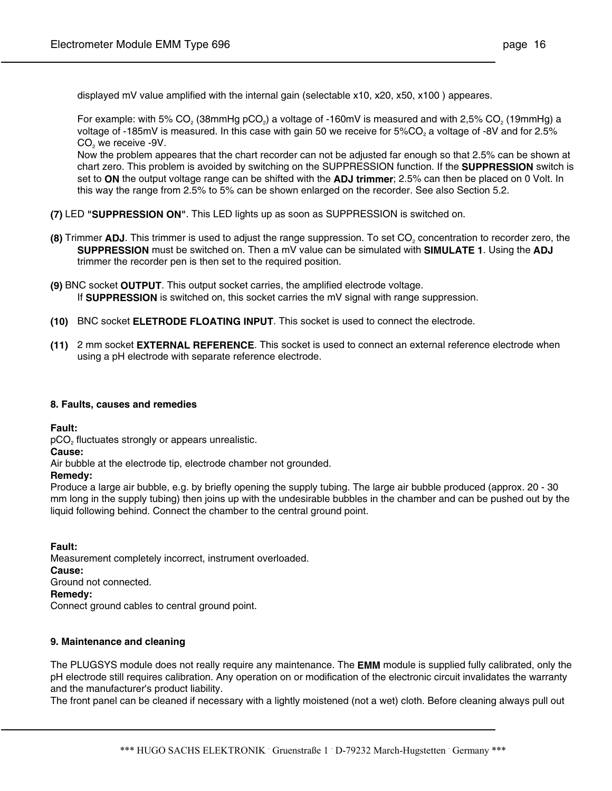displayed mV value amplified with the internal gain (selectable x10, x20, x50, x100 ) appeares.

For example: with 5% CO<sub>2</sub> (38mmHg pCO<sub>2</sub>) a voltage of -160mV is measured and with 2,5% CO<sub>2</sub> (19mmHg) a voltage of -185mV is measured. In this case with gain 50 we receive for 5%CO<sub>2</sub> a voltage of -8V and for 2.5% CO<sub>2</sub> we receive -9V.

 Now the problem appeares that the chart recorder can not be adjusted far enough so that 2.5% can be shown at chart zero. This problem is avoided by switching on the SUPPRESSION function. If the **SUPPRESSION** switch is set to **ON** the output voltage range can be shifted with the **ADJ trimmer**; 2.5% can then be placed on 0 Volt. In this way the range from 2.5% to 5% can be shown enlarged on the recorder. See also Section 5.2.

- **(7)** LED **"SUPPRESSION ON"**. This LED lights up as soon as SUPPRESSION is switched on.
- **(8)** Trimmer **ADJ**. This trimmer is used to adjust the range suppression. To set CO<sub>2</sub> concentration to recorder zero, the **SUPPRESSION** must be switched on. Then a mV value can be simulated with **SIMULATE 1**. Using the **ADJ** trimmer the recorder pen is then set to the required position.
- **(9)** BNC socket **OUTPUT**. This output socket carries, the amplified electrode voltage. If **SUPPRESSION** is switched on, this socket carries the mV signal with range suppression.
- **(10)** BNC socket **ELETRODE FLOATING INPUT**. This socket is used to connect the electrode.
- **(11)** 2 mm socket **EXTERNAL REFERENCE**. This socket is used to connect an external reference electrode when using a pH electrode with separate reference electrode.

#### **8. Faults, causes and remedies**

**Fault:** 

 $pCO<sub>2</sub>$  fluctuates strongly or appears unrealistic.

**Cause:**

Air bubble at the electrode tip, electrode chamber not grounded.

#### **Remedy:**

Produce a large air bubble, e.g. by briefly opening the supply tubing. The large air bubble produced (approx. 20 - 30 mm long in the supply tubing) then joins up with the undesirable bubbles in the chamber and can be pushed out by the liquid following behind. Connect the chamber to the central ground point.

**Fault:**

Measurement completely incorrect, instrument overloaded. **Cause:** Ground not connected. **Remedy:** Connect ground cables to central ground point.

## **9. Maintenance and cleaning**

The PLUGSYS module does not really require any maintenance. The **EMM** module is supplied fully calibrated, only the pH electrode still requires calibration. Any operation on or modification of the electronic circuit invalidates the warranty and the manufacturer's product liability.

The front panel can be cleaned if necessary with a lightly moistened (not a wet) cloth. Before cleaning always pull out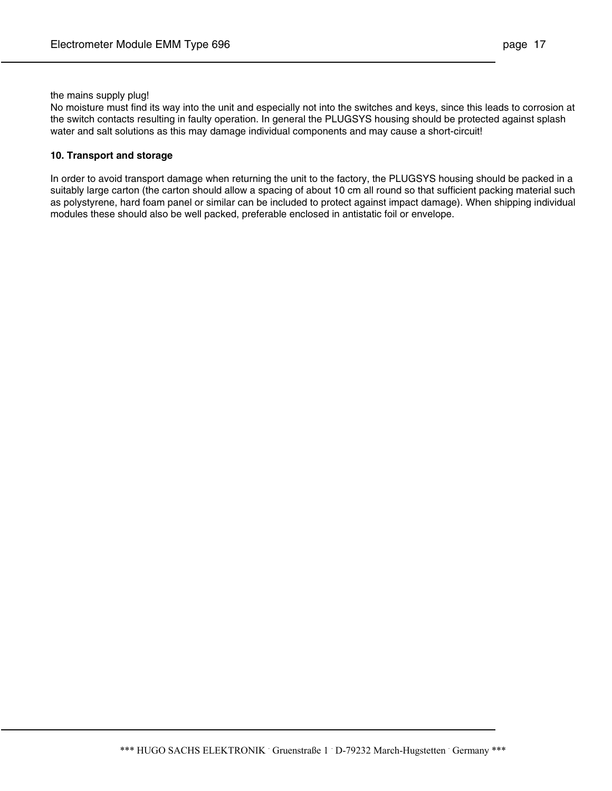#### the mains supply plug!

No moisture must find its way into the unit and especially not into the switches and keys, since this leads to corrosion at the switch contacts resulting in faulty operation. In general the PLUGSYS housing should be protected against splash water and salt solutions as this may damage individual components and may cause a short-circuit!

### **10. Transport and storage**

In order to avoid transport damage when returning the unit to the factory, the PLUGSYS housing should be packed in a suitably large carton (the carton should allow a spacing of about 10 cm all round so that sufficient packing material such as polystyrene, hard foam panel or similar can be included to protect against impact damage). When shipping individual modules these should also be well packed, preferable enclosed in antistatic foil or envelope.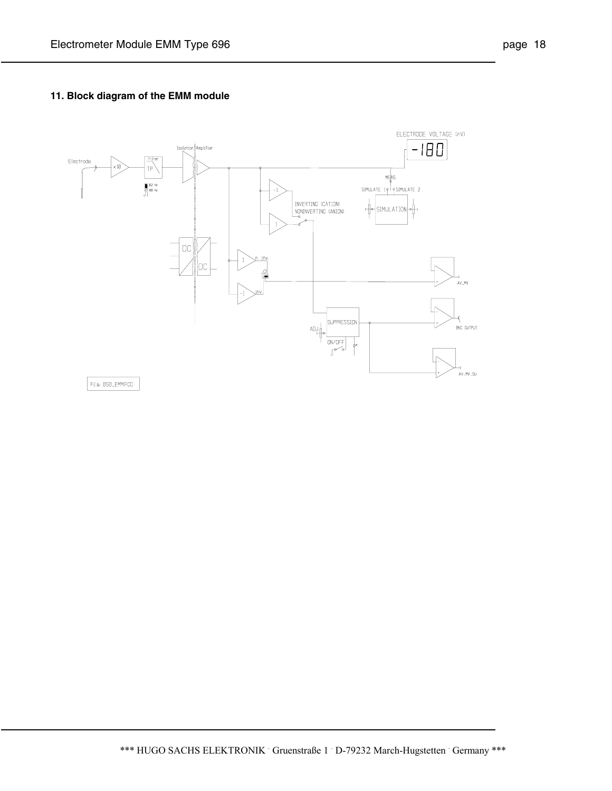## **11. Block diagram of the EMM module**